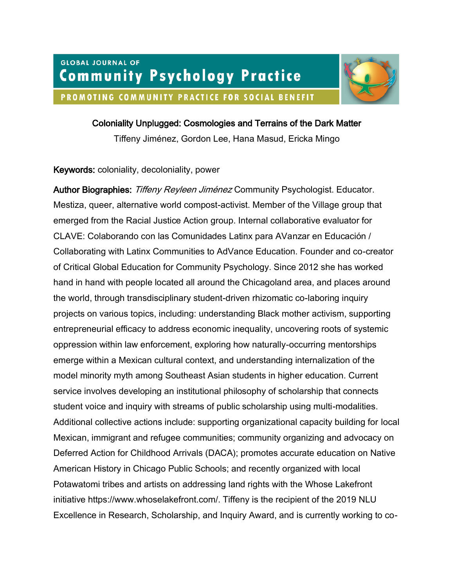

## Coloniality Unplugged: Cosmologies and Terrains of the Dark Matter

Tiffeny Jiménez, Gordon Lee, Hana Masud, Ericka Mingo

### Keywords: coloniality, decoloniality, power

Author Biographies: Tiffeny Reyleen Jiménez Community Psychologist. Educator. Mestiza, queer, alternative world compost-activist. Member of the Village group that emerged from the Racial Justice Action group. Internal collaborative evaluator for CLAVE: Colaborando con las Comunidades Latinx para AVanzar en Educación / Collaborating with Latinx Communities to AdVance Education. Founder and co-creator of Critical Global Education for Community Psychology. Since 2012 she has worked hand in hand with people located all around the Chicagoland area, and places around the world, through transdisciplinary student-driven rhizomatic co-laboring inquiry projects on various topics, including: understanding Black mother activism, supporting entrepreneurial efficacy to address economic inequality, uncovering roots of systemic oppression within law enforcement, exploring how naturally-occurring mentorships emerge within a Mexican cultural context, and understanding internalization of the model minority myth among Southeast Asian students in higher education. Current service involves developing an institutional philosophy of scholarship that connects student voice and inquiry with streams of public scholarship using multi-modalities. Additional collective actions include: supporting organizational capacity building for local Mexican, immigrant and refugee communities; community organizing and advocacy on Deferred Action for Childhood Arrivals (DACA); promotes accurate education on Native American History in Chicago Public Schools; and recently organized with local Potawatomi tribes and artists on addressing land rights with the Whose Lakefront initiative https://www.whoselakefront.com/. Tiffeny is the recipient of the 2019 NLU Excellence in Research, Scholarship, and Inquiry Award, and is currently working to co-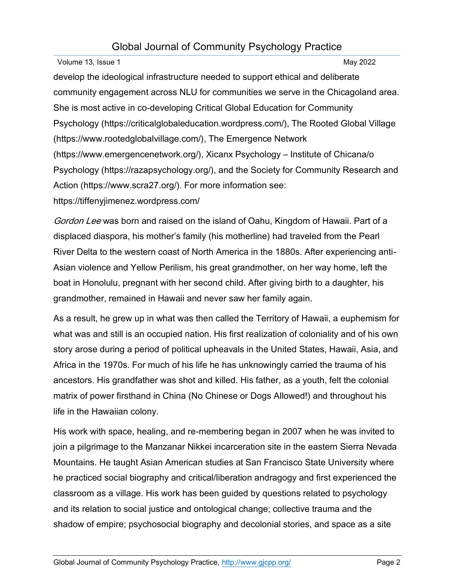# Global Journal of Community Psychology Practice

Volume 13, Issue 1 May 2022

develop the ideological infrastructure needed to support ethical and deliberate community engagement across NLU for communities we serve in the Chicagoland area. She is most active in co-developing Critical Global Education for Community Psychology (https://criticalglobaleducation.wordpress.com/), The Rooted Global Village (https://www.rootedglobalvillage.com/), The Emergence Network (https://www.emergencenetwork.org/), Xicanx Psychology – Institute of Chicana/o Psychology (https://razapsychology.org/), and the Society for Community Research and Action (https://www.scra27.org/). For more information see: https://tiffenyjimenez.wordpress.com/

Gordon Lee was born and raised on the island of Oahu, Kingdom of Hawaii. Part of a displaced diaspora, his mother's family (his motherline) had traveled from the Pearl River Delta to the western coast of North America in the 1880s. After experiencing anti-Asian violence and Yellow Perilism, his great grandmother, on her way home, left the boat in Honolulu, pregnant with her second child. After giving birth to a daughter, his grandmother, remained in Hawaii and never saw her family again.

As a result, he grew up in what was then called the Territory of Hawaii, a euphemism for what was and still is an occupied nation. His first realization of coloniality and of his own story arose during a period of political upheavals in the United States, Hawaii, Asia, and Africa in the 1970s. For much of his life he has unknowingly carried the trauma of his ancestors. His grandfather was shot and killed. His father, as a youth, felt the colonial matrix of power firsthand in China (No Chinese or Dogs Allowed!) and throughout his life in the Hawaiian colony.

His work with space, healing, and re-membering began in 2007 when he was invited to join a pilgrimage to the Manzanar Nikkei incarceration site in the eastern Sierra Nevada Mountains. He taught Asian American studies at San Francisco State University where he practiced social biography and critical/liberation andragogy and first experienced the classroom as a village. His work has been guided by questions related to psychology and its relation to social justice and ontological change; collective trauma and the shadow of empire; psychosocial biography and decolonial stories, and space as a site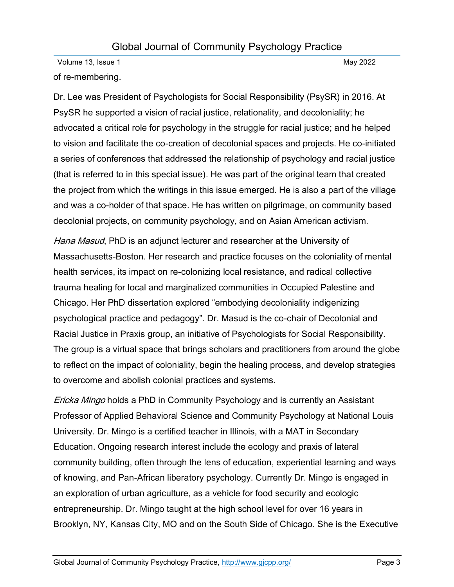Volume 13, Issue 1 May 2022 of re-membering.

Dr. Lee was President of Psychologists for Social Responsibility (PsySR) in 2016. At PsySR he supported a vision of racial justice, relationality, and decoloniality; he advocated a critical role for psychology in the struggle for racial justice; and he helped to vision and facilitate the co-creation of decolonial spaces and projects. He co-initiated a series of conferences that addressed the relationship of psychology and racial justice (that is referred to in this special issue). He was part of the original team that created the project from which the writings in this issue emerged. He is also a part of the village and was a co-holder of that space. He has written on pilgrimage, on community based decolonial projects, on community psychology, and on Asian American activism.

Hana Masud, PhD is an adjunct lecturer and researcher at the University of Massachusetts-Boston. Her research and practice focuses on the coloniality of mental health services, its impact on re-colonizing local resistance, and radical collective trauma healing for local and marginalized communities in Occupied Palestine and Chicago. Her PhD dissertation explored "embodying decoloniality indigenizing psychological practice and pedagogy". Dr. Masud is the co-chair of Decolonial and Racial Justice in Praxis group, an initiative of Psychologists for Social Responsibility. The group is a virtual space that brings scholars and practitioners from around the globe to reflect on the impact of coloniality, begin the healing process, and develop strategies to overcome and abolish colonial practices and systems.

**Ericka Mingo holds a PhD in Community Psychology and is currently an Assistant** Professor of Applied Behavioral Science and Community Psychology at National Louis University. Dr. Mingo is a certified teacher in Illinois, with a MAT in Secondary Education. Ongoing research interest include the ecology and praxis of lateral community building, often through the lens of education, experiential learning and ways of knowing, and Pan-African liberatory psychology. Currently Dr. Mingo is engaged in an exploration of urban agriculture, as a vehicle for food security and ecologic entrepreneurship. Dr. Mingo taught at the high school level for over 16 years in Brooklyn, NY, Kansas City, MO and on the South Side of Chicago. She is the Executive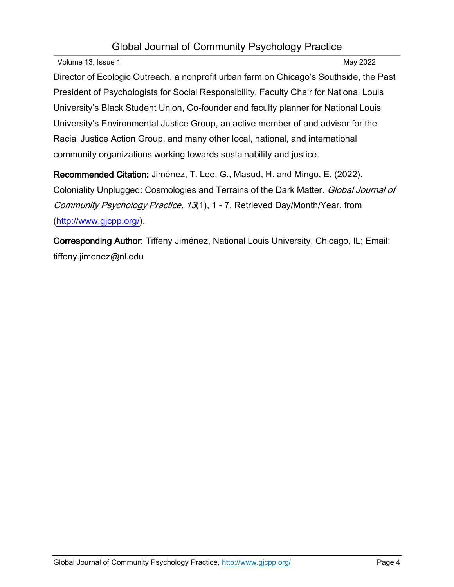# Global Journal of Community Psychology Practice

Volume 13, Issue 1 May 2022

Director of Ecologic Outreach, a nonprofit urban farm on Chicago's Southside, the Past President of Psychologists for Social Responsibility, Faculty Chair for National Louis University's Black Student Union, Co-founder and faculty planner for National Louis University's Environmental Justice Group, an active member of and advisor for the Racial Justice Action Group, and many other local, national, and international community organizations working towards sustainability and justice.

Recommended Citation: Jiménez, T. Lee, G., Masud, H. and Mingo, E. (2022). Coloniality Unplugged: Cosmologies and Terrains of the Dark Matter. Global Journal of Community Psychology Practice, 13(1), 1 - 7. Retrieved Day/Month/Year, from [\(http://www.gjcpp.org/\)](http://www.gjcpp.org/).

Corresponding Author: Tiffeny Jiménez, National Louis University, Chicago, IL; Email: tiffeny.jimenez@nl.edu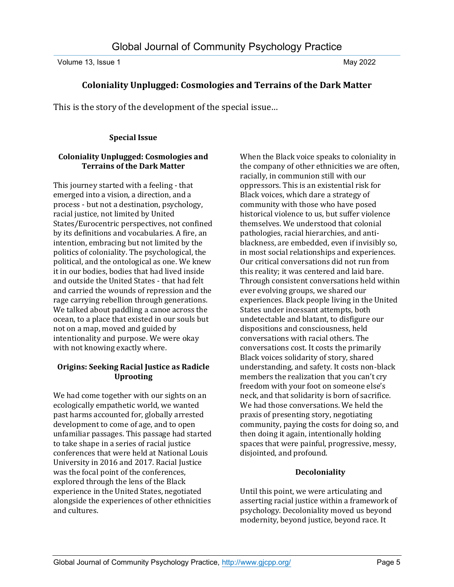Volume 13, Issue 1 May 2022

### **Coloniality Unplugged: Cosmologies and Terrains of the Dark Matter**

This is the story of the development of the special issue…

### **Special Issue**

#### **Coloniality Unplugged: Cosmologies and Terrains of the Dark Matter**

This journey started with a feeling - that emerged into a vision, a direction, and a process - but not a destination, psychology, racial justice, not limited by United States/Eurocentric perspectives, not confined by its definitions and vocabularies. A fire, an intention, embracing but not limited by the politics of coloniality. The psychological, the political, and the ontological as one. We knew it in our bodies, bodies that had lived inside and outside the United States - that had felt and carried the wounds of repression and the rage carrying rebellion through generations. We talked about paddling a canoe across the ocean, to a place that existed in our souls but not on a map, moved and guided by intentionality and purpose. We were okay with not knowing exactly where.

### **Origins: Seeking Racial Justice as Radicle Uprooting**

We had come together with our sights on an ecologically empathetic world, we wanted past harms accounted for, globally arrested development to come of age, and to open unfamiliar passages. This passage had started to take shape in a series of racial justice conferences that were held at National Louis University in 2016 and 2017. Racial Justice was the focal point of the conferences, explored through the lens of the Black experience in the United States, negotiated alongside the experiences of other ethnicities and cultures.

When the Black voice speaks to coloniality in the company of other ethnicities we are often, racially, in communion still with our oppressors. This is an existential risk for Black voices, which dare a strategy of community with those who have posed historical violence to us, but suffer violence themselves. We understood that colonial pathologies, racial hierarchies, and antiblackness, are embedded, even if invisibly so, in most social relationships and experiences. Our critical conversations did not run from this reality; it was centered and laid bare. Through consistent conversations held within ever evolving groups, we shared our experiences. Black people living in the United States under incessant attempts, both undetectable and blatant, to disfigure our dispositions and consciousness, held conversations with racial others. The conversations cost. It costs the primarily Black voices solidarity of story, shared understanding, and safety. It costs non-black members the realization that you can't cry freedom with your foot on someone else's neck, and that solidarity is born of sacrifice. We had those conversations. We held the praxis of presenting story, negotiating community, paying the costs for doing so, and then doing it again, intentionally holding spaces that were painful, progressive, messy, disjointed, and profound.

### **Decoloniality**

Until this point, we were articulating and asserting racial justice within a framework of psychology. Decoloniality moved us beyond modernity, beyond justice, beyond race. It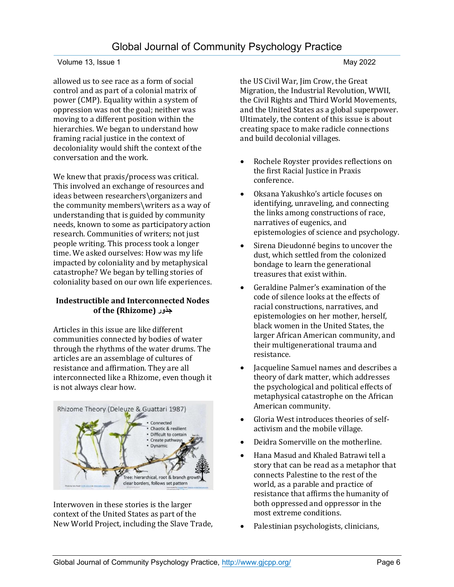#### Volume 13, Issue 1 May 2022

allowed us to see race as a form of social control and as part of a colonial matrix of power (CMP). Equality within a system of oppression was not the goal; neither was moving to a different position within the hierarchies. We began to understand how framing racial justice in the context of decoloniality would shift the context of the conversation and the work.

We knew that praxis/process was critical. This involved an exchange of resources and ideas between researchers\organizers and the community members\writers as a way of understanding that is guided by community needs, known to some as participatory action research. Communities of writers; not just people writing. This process took a longer time. We asked ourselves: How was my life impacted by coloniality and by metaphysical catastrophe? We began by telling stories of coloniality based on our own life experiences.

### **Indestructible and Interconnected Nodes of the (Rhizome) جذور**

Articles in this issue are like different communities connected by bodies of water through the rhythms of the water drums. The articles are an assemblage of cultures of resistance and affirmation. They are all interconnected like a Rhizome, even though it is not always clear how.



Interwoven in these stories is the larger context of the United States as part of the New World Project, including the Slave Trade, the US Civil War, Jim Crow, the Great Migration, the Industrial Revolution, WWII, the Civil Rights and Third World Movements, and the United States as a global superpower. Ultimately, the content of this issue is about creating space to make radicle connections and build decolonial villages.

- Rochele Royster provides reflections on the first Racial Justice in Praxis conference.
- Oksana Yakushko's article focuses on identifying, unraveling, and connecting the links among constructions of race, narratives of eugenics, and epistemologies of science and psychology.
- Sirena Dieudonné begins to uncover the dust, which settled from the colonized bondage to learn the generational treasures that exist within.
- Geraldine Palmer's examination of the code of silence looks at the effects of racial constructions, narratives, and epistemologies on her mother, herself, black women in the United States, the larger African American community, and their multigenerational trauma and resistance.
- Jacqueline Samuel names and describes a theory of dark matter, which addresses the psychological and political effects of metaphysical catastrophe on the African American community.
- Gloria West introduces theories of selfactivism and the mobile village.
- Deidra Somerville on the motherline.
- Hana Masud and Khaled Batrawi tell a story that can be read as a metaphor that connects Palestine to the rest of the world, as a parable and practice of resistance that affirms the humanity of both oppressed and oppressor in the most extreme conditions.
- Palestinian psychologists, clinicians,

#### Global Journal of Community Psychology Practice,<http://www.gjcpp.org/> Page 6